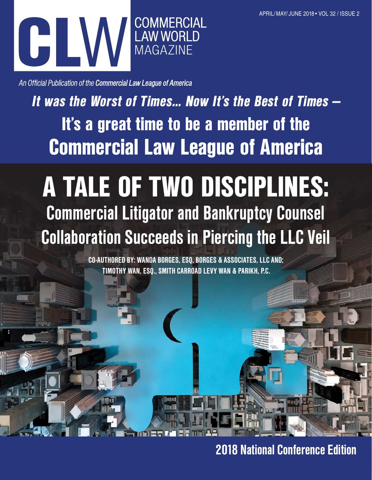

An Official Publication of the Commercial Law League of America

It was the Worst of Times… Now It's the Best of Times — It's a great time to be a member of the Commercial Law League of America

# A TALE OF TWO DISCIPLINES: Commercial Litigator and Bankruptcy Counsel Collaboration Succeeds in Piercing the LLC Veil

CO-AUTHORED BY: WANDA BORGES, ESQ, BORGES & ASSOCIATES, LLC AND; TIMOTHY WAN, ESQ., SMITH CARROAD LEVY WAN & PARIKH, P.C.

2018 National Conference Edition